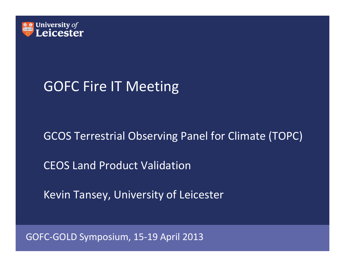

## GOFC Fire IT Meeting

#### GCOS Terrestrial Observing Panel for Climate (TOPC)

CEOS Land Product Validation

Kevin Tansey, University of Leicester

GOFC‐GOLD Symposium, 15‐19 April 2013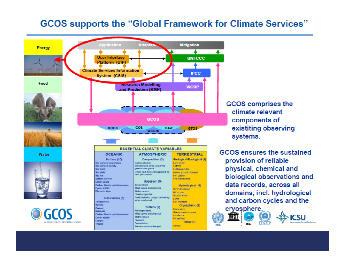#### **GCOS supports the "Global Framework for Climate Services"**



**GCOS** comprises the climate relevant components of existiting observing systems.

GCOS ensures the sustained provision of reliable physical, chemical and biological observations and data records, across all domains, incl. hydrological and carbon cycles and the

cryosphere. **TIMES** ЮC

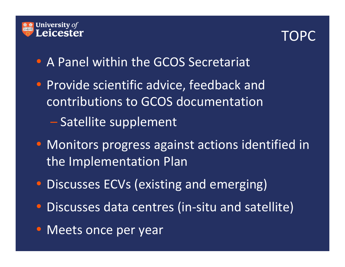

# TOPC

- A Panel within the GCOS Secretariat
- Provide scientific advice, feedback and contributions to GCOS documentation
	- Satellite supplement
- Monitors progress against actions identified in the Implementation Plan
- $\bullet$ Discusses ECVs (existing and emerging)
- $\bullet$ Discusses data centres (in‐situ and satellite)
- Meets once per year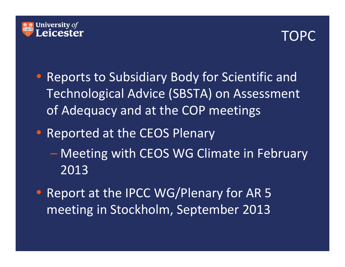

#### TOPC

- Reports to Subsidiary Body for Scientific and Technological Advice (SBSTA) on Assessment of Adequacy and at the COP meetings
- Reported at the CEOS Plenary
	- Meeting with CEOS WG Climate in February 2013
- • Report at the IPCC WG/Plenary for AR 5 meeting in Stockholm, September 2013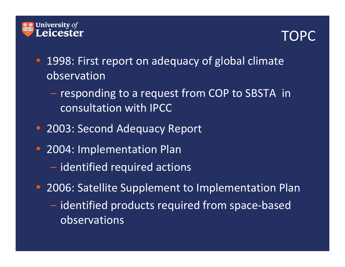



- 1998: First report on adequacy of global climate observation
	- responding to a request from COP to SBSTA in consultation with IPCC
- 2003: Second Adequacy Report
- 2004: Implementation Plan
	- identified required actions
- 2006: Satellite Supplement to Implementation Plan
	- identified products required from space‐based observations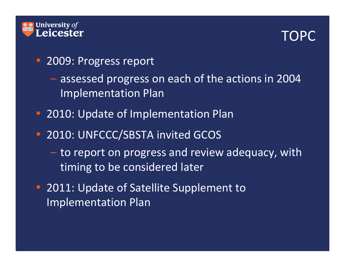

#### TOPC

- 2009: Progress report
	- assessed progress on each of the actions in 2004 Implementation Plan
- 2010: Update of Implementation Plan
- 2010: UNFCCC/SBSTA invited GCOS
	- to report on progress and review adequacy, with timing to be considered later
- 2011: Update of Satellite Supplement to Implementation Plan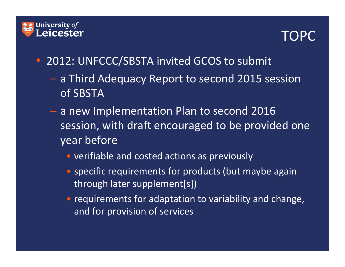



- 2012: UNFCCC/SBSTA invited GCOS to submit
	- <sup>a</sup> Third Adequacy Report to second 2015 session of SBSTA
	- a new Implementation Plan to second 2016 session, with draft encouraged to be provided one year before
		- verifiable and costed actions as previously
		- specific requirements for products (but maybe again through later supplement[s])
		- requirements for adaptation to variability and change, and for provision of services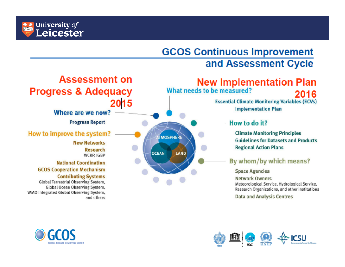

#### **GCOS Continuous Improvement** and Assessment Cycle





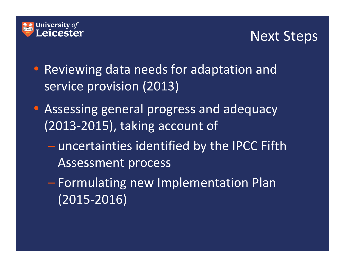

#### Next Steps

- Reviewing data needs for adaptation and service provision (2013)
- Assessing general progress and adequacy (2013‐2015), taking account of
	- – $-$  uncertainties identified by the IPCC Fifth Assessment process
	- Formulating new Implementation Plan (2015‐2016)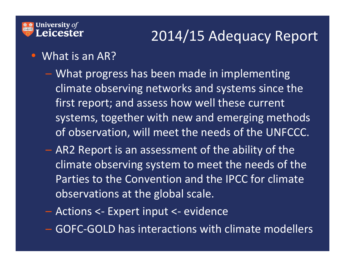#### $\frac{\text{# *}}{\text{#}}$  University of **Leicester**

# 2014/15 Adequacy Report

- What is an AR?
	- What progress has been made in implementing climate observing networks and systems since the first report; and assess how well these current systems, together with new and emerging methods of observation, will meet the needs of the UNFCCC.
	- AR2 Report is an assessment of the ability of the climate observing system to meet the needs of the Parties to the Convention and the IPCC for climate observations at the global scale.
	- Actions <sup>&</sup>lt;‐ Expert input <sup>&</sup>lt;‐ evidence
	- GOFC‐GOLD has interactions with climate modellers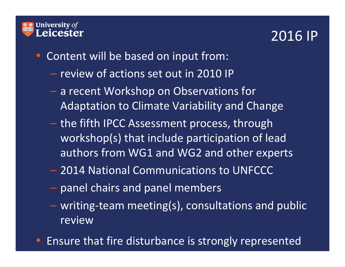

#### 2016 IP

- Content will be based on input from:
	- review of actions set out in 2010 IP
	- <sup>a</sup> recent Workshop on Observations for Adaptation to Climate Variability and Change
	- the fifth IPCC Assessment process, through workshop(s) that include participation of lead authors from WG1 and WG2 and other experts
	- 2014 National Communications to UNFCCC
	- panel chairs and panel members
	- writing‐team meeting(s), consultations and public review
- Ensure that fire disturbance is strongly represented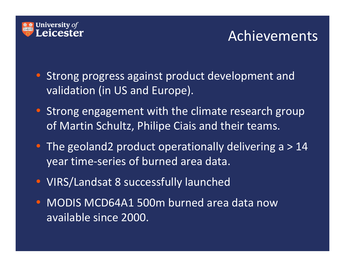

- Strong progress against product development and validation (in US and Europe).
- Strong engagement with the climate research group of Martin Schultz, Philipe Ciais and their teams.
- The geoland2 product operationally delivering a > 14 year time‐series of burned area data.
- VIRS/Landsat 8 successfully launched
- MODIS MCD64A1 500m burned area data now available since 2000.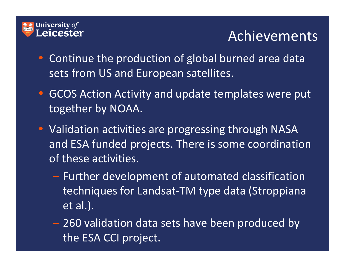

- Continue the production of global burned area data sets from US and European satellites.
- GCOS Action Activity and update templates were put together by NOAA.
- Validation activities are progressing through NASA and ESA funded projects. There is some coordination of these activities.
	- $-$  Further development of automated classification techniques for Landsat‐TM type data (Stroppiana et al.).
	- 260 validation data sets have been produced by the ESA CCI project.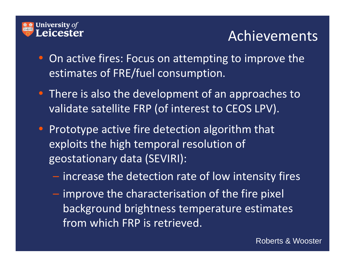

- On active fires: Focus on attempting to improve the estimates of FRE/fuel consumption.
- There is also the development of an approaches to validate satellite FRP (of interest to CEOS LPV).
- Prototype active fire detection algorithm that exploits the high temporal resolution of geostationary data (SEVIRI):
	- increase the detection rate of low intensity fires
	- $-$  improve the characterisation of the fire pixel background brightness temperature estimates from which FRP is retrieved.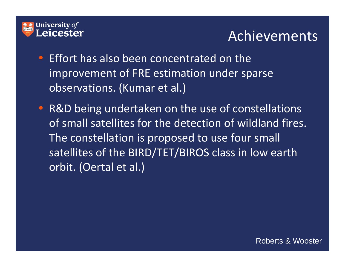

- Effort has also been concentrated on the improvement of FRE estimation under sparse observations. (Kumar et al.)
- R&D being undertaken on the use of constellations of small satellites for the detection of wildland fires. The constellation is proposed to use four small satellites of the BIRD/TET/BIROS class in low earth orbit. (Oertal et al.)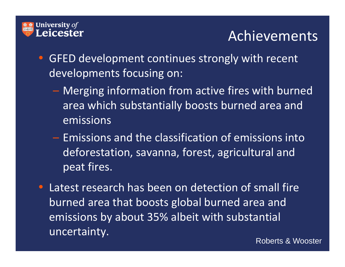

- GFED development continues strongly with recent developments focusing on:
	- Merging information from active fires with burned area which substantially boosts burned area and emissions
	- Emissions and the classification of emissions intodeforestation, savanna, forest, agricultural and peat fires.
- Latest research has been on detection of small fire burned area that boosts global burned area and emissions by about 35% albeit with substantial uncertainty.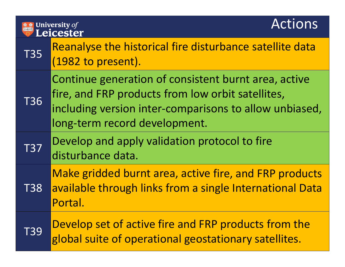# **ASSEM** University of

#### Actions

| <b>T35</b> | Reanalyse the historical fire disturbance satellite data<br>(1982 to present).                                                                                                                       |
|------------|------------------------------------------------------------------------------------------------------------------------------------------------------------------------------------------------------|
| <b>T36</b> | Continue generation of consistent burnt area, active<br>fire, and FRP products from low orbit satellites,<br>including version inter-comparisons to allow unbiased,<br>long-term record development. |
| <b>T37</b> | Develop and apply validation protocol to fire<br>disturbance data.                                                                                                                                   |
| <b>T38</b> | Make gridded burnt area, active fire, and FRP products<br>available through links from a single International Data<br>Portal.                                                                        |
| <b>T39</b> | Develop set of active fire and FRP products from the<br>global suite of operational geostationary satellites.                                                                                        |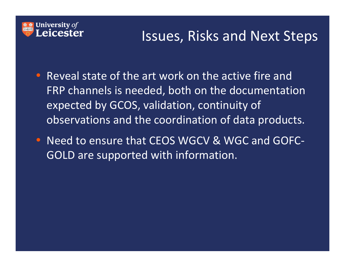

#### Issues, Risks and Next Steps

- Reveal state of the art work on the active fire and FRP channels is needed, both on the documentation expected by GCOS, validation, continuity of observations and the coordination of data products.
- Need to ensure that CEOS WGCV & WGC and GOFC-GOLD are supported with information.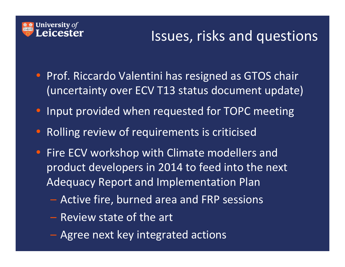

## Issues, risks and questions

- Prof. Riccardo Valentini has resigned as GTOS chair (uncertainty over ECV T13 status document update)
- Input provided when requested for TOPC meeting
- •Rolling review of requirements is criticised
- Fire ECV workshop with Climate modellers and product developers in 2014 to feed into the next Adequacy Report and Implementation Plan
	- Active fire, burned area and FRP sessions
	- Review state of the art
	- Agree next key integrated actions